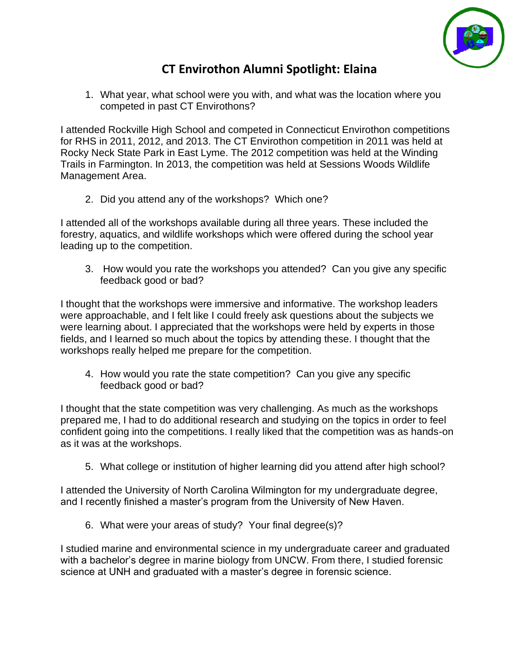

## **CT Envirothon Alumni Spotlight: Elaina**

1. What year, what school were you with, and what was the location where you competed in past CT Envirothons?

I attended Rockville High School and competed in Connecticut Envirothon competitions for RHS in 2011, 2012, and 2013. The CT Envirothon competition in 2011 was held at Rocky Neck State Park in East Lyme. The 2012 competition was held at the Winding Trails in Farmington. In 2013, the competition was held at Sessions Woods Wildlife Management Area.

2. Did you attend any of the workshops? Which one?

I attended all of the workshops available during all three years. These included the forestry, aquatics, and wildlife workshops which were offered during the school year leading up to the competition.

3. How would you rate the workshops you attended? Can you give any specific feedback good or bad?

I thought that the workshops were immersive and informative. The workshop leaders were approachable, and I felt like I could freely ask questions about the subjects we were learning about. I appreciated that the workshops were held by experts in those fields, and I learned so much about the topics by attending these. I thought that the workshops really helped me prepare for the competition.

4. How would you rate the state competition? Can you give any specific feedback good or bad?

I thought that the state competition was very challenging. As much as the workshops prepared me, I had to do additional research and studying on the topics in order to feel confident going into the competitions. I really liked that the competition was as hands-on as it was at the workshops.

5. What college or institution of higher learning did you attend after high school?

I attended the University of North Carolina Wilmington for my undergraduate degree, and I recently finished a master's program from the University of New Haven.

6. What were your areas of study? Your final degree(s)?

I studied marine and environmental science in my undergraduate career and graduated with a bachelor's degree in marine biology from UNCW. From there, I studied forensic science at UNH and graduated with a master's degree in forensic science.